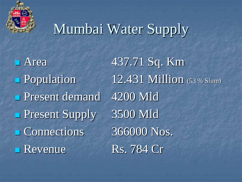

# Mumbai Water Supply

Present demand 4200 Mld Present Supply 3500 Mld Connections 366000 Nos. Revenue Rs. 784 Cr

**Area** 437.71 Sq. Km Population 12.431 Million (53 % Slum)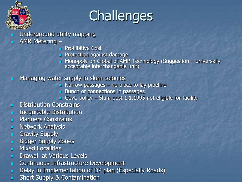

# **Challenges**

- Underground utility mapping
- AMR Metering
	- **Prohibitive Cost**
	- **Protection against damage**
	- **Nonopoly on Global of AMR Technology (Suggestion universally** acceptable interchangable unit)
- **Managing water supply in slum colonies** 
	- $\blacksquare$  Narrow passages no place to lay pipeline
	- **Bunch of connections in passages**
	- Govt. policy Slum post 1.1.1995 not eligible for facility
- **Distribution Constrains**
- **Inequitable Distribution**
- **Planners Constrains**
- **Network Analysis**
- **Gravity Supply**
- **Bigger Supply Zones**
- **Mixed Localities**
- **Drawal at Various Levels**
- **Continuous Infrastructure Development**
- Delay in Implementation of DP plan (Especially Roads)
- **Short Supply & Contamination**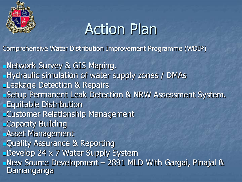

# Action Plan

Comprehensive Water Distribution Improvement Programme (WDIP)

Network Survey & GIS Maping. **Hydraulic simulation of water supply zones / DMAs Leakage Detection & Repairs** Setup Permanent Leak Detection & NRW Assessment System. **Equitable Distribution** Customer Relationship Management **Capacity Building** Asset Management **Quality Assurance & Reporting** Develop 24 x 7 Water Supply System New Source Development – 2891 MLD With Gargai, Pinajal & Damanganga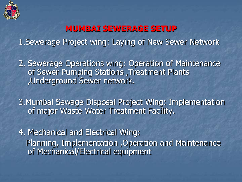

## **MUMBAI SEWERAGE SETUP**

1.Sewerage Project wing: Laying of New Sewer Network

2. Sewerage Operations wing: Operation of Maintenance of Sewer Pumping Stations , Treatment Plants ,Underground Sewer network.

3.Mumbai Sewage Disposal Project Wing: Implementation of major Waste Water Treatment Facility.

4. Mechanical and Electrical Wing: Planning, Implementation ,Operation and Maintenance of Mechanical/Electrical equipment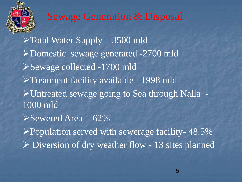

## Sewage Generation & Disposal

 $\blacktriangleright$  Total Water Supply – 3500 mld Domestic sewage generated -2700 mld Sewage collected -1700 mld Treatment facility available -1998 mld Untreated sewage going to Sea through Nalla - 1000 mld Sewered Area - 62%  $\blacktriangleright$  Population served with sewerage facility- 48.5%  $\triangleright$  Diversion of dry weather flow - 13 sites planned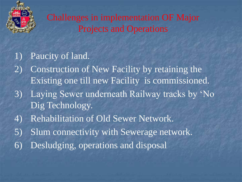

Challenges in implementation OF Major Projects and Operations

## 1) Paucity of land.

- 2) Construction of New Facility by retaining the Existing one till new Facility is commissioned.
- 3) Laying Sewer underneath Railway tracks by 'No Dig Technology.
- 4) Rehabilitation of Old Sewer Network.
- 5) Slum connectivity with Sewerage network.
- 6) Desludging, operations and disposal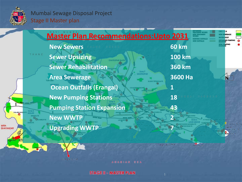

#### Mumbai Sewage Disposal Project Stage II Master plan

**Erangel Outfail** 

|                         | <b>Master Plan Recommendations: Upto 2031</b>  |                  |                      | <b>NEW SEWERAC</b><br><b>WATER BODY</b> |
|-------------------------|------------------------------------------------|------------------|----------------------|-----------------------------------------|
|                         | <b>New Sewers</b>                              |                  | <b>60 km</b>         |                                         |
| THANE                   | <b>Sewer Upsizing</b><br><b>CHATKOPAR WWTW</b> |                  | <b>100 km</b>        |                                         |
|                         | <b>Sewer Rehabilitation</b>                    | Zone 7           | <b>360 km</b>        |                                         |
|                         | <b>Area Sewerage</b>                           | <b>GHATKOPAR</b> | <b>3600 Ha</b>       |                                         |
|                         | <b>Ocean Outfalls (Erangal)</b>                |                  |                      |                                         |
|                         | <b>New Pumping Stations</b>                    |                  | 18<br>MEAL HARBOUR   |                                         |
| <b>VALLABH NAGAR PS</b> | <b>Pumping Station Expansion</b>               |                  | 43                   |                                         |
| <b>GORN PS</b>          | <b>New WWTP</b>                                |                  |                      |                                         |
| HAYANDAR                | <b>Upgrading WWTP</b>                          |                  |                      | Colcipe Out<br><b>SAN CHINES IN</b>     |
|                         |                                                |                  |                      | <b>TOBER / NOAD #1</b>                  |
|                         |                                                | Lovegrove Outla! | <b>BARTARY MAKER</b> |                                         |

ARABIAN SEA

**STAGE II - MASTER PLAN**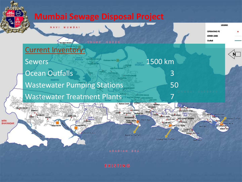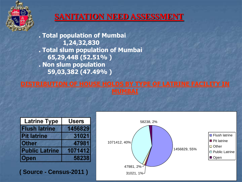

#### **SANITATION NEED ASSESSMENT**

**. Total population of Mumbai 1,24,32,830 . Total slum population of Mumbai 65,29,448 (52.51% ) . Non slum population 59,03,382 (47.49% )**

| <b>Latrine Type</b>   | Users   |  |  |
|-----------------------|---------|--|--|
| <b>Flush latrine</b>  | 1456829 |  |  |
| <b>IPit latrine</b>   | 31021   |  |  |
| lOther                | 47981   |  |  |
| <b>Public Latrine</b> | 1071412 |  |  |
| pen                   | 58238   |  |  |

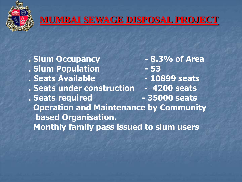

## **MUMBAI SEWAGE DISPOSAL PROJECT**

**. Slum Occupancy - 8.3% of Area . Slum Population - 53 . Seats Available - 10899 seats . Seats under construction - 4200 seats . Seats required - 35000 seats Operation and Maintenance by Community based Organisation. Monthly family pass issued to slum users**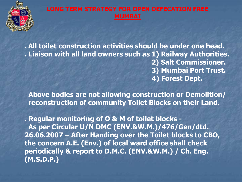

#### **LONG TERM STRATEGY FOR OPEN DEFECATION FREE MUMBAI**

**. All toilet construction activities should be under one head. . Liaison with all land owners such as 1) Railway Authorities. 2) Salt Commissioner. 3) Mumbai Port Trust. 4) Forest Dept.** 

 **Above bodies are not allowing construction or Demolition/ reconstruction of community Toilet Blocks on their Land.**

**. Regular monitoring of O & M of toilet blocks - As per Circular U/N DMC (ENV.&W.M.)/476/Gen/dtd. 26.06.2007 – After Handing over the Toilet blocks to CBO, the concern A.E. (Env.) of local ward office shall check periodically & report to D.M.C. (ENV.&W.M.) / Ch. Eng. (M.S.D.P.)**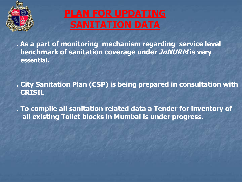

# **PLAN FOR UPDATING SANITATION DATA**

**. As a part of monitoring mechanism regarding service level benchmark of sanitation coverage under JnNURM is very essential.**

**. City Sanitation Plan (CSP) is being prepared in consultation with CRISIL**

**. To compile all sanitation related data a Tender for inventory of all existing Toilet blocks in Mumbai is under progress.**